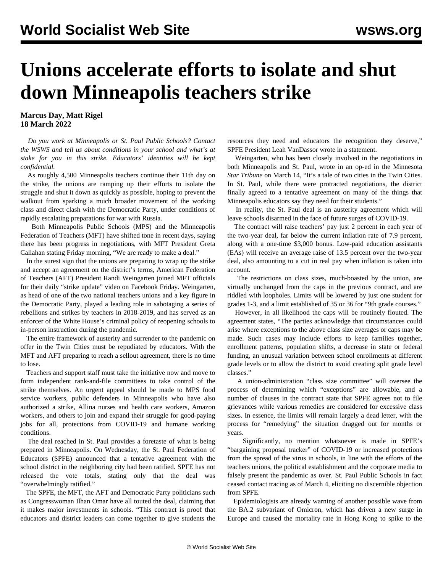## **Unions accelerate efforts to isolate and shut down Minneapolis teachers strike**

## **Marcus Day, Matt Rigel 18 March 2022**

 *Do you work at Minneapolis or St. Paul Public Schools? [Contact](/en/special/pages/contact.html) [the WSWS a](/en/special/pages/contact.html)nd tell us about conditions in your school and what's at stake for you in this strike. Educators' identities will be kept confidential.*

 As roughly 4,500 Minneapolis teachers continue their 11th day on the strike, the unions are ramping up their efforts to isolate the struggle and shut it down as quickly as possible, hoping to prevent the walkout from sparking a much broader movement of the working class and direct clash with the Democratic Party, under conditions of rapidly escalating preparations for war with Russia.

 Both Minneapolis Public Schools (MPS) and the Minneapolis Federation of Teachers (MFT) have shifted tone in recent days, saying there has been progress in negotiations, with MFT President Greta Callahan stating Friday morning, "We are ready to make a deal."

 In the surest sign that the unions are preparing to wrap up the strike and accept an agreement on the district's terms, American Federation of Teachers (AFT) President Randi Weingarten joined MFT officials for their daily "strike update" video on Facebook Friday. Weingarten, as head of one of the two national teachers unions and a key figure in the Democratic Party, played a leading role in sabotaging a series of rebellions and strikes by teachers in [2018-2019,](/en/articles/2019/03/12/aimi-m12.html) and has served as an enforcer of the White House's criminal policy of reopening schools to in-person instruction during the pandemic.

 The entire framework of austerity and surrender to the pandemic on offer in the Twin Cities must be repudiated by educators. With the MFT and AFT preparing to reach a sellout agreement, there is no time to lose.

 Teachers and support staff must take the initiative now and move to form [independent rank-and-file committees](/en/special/pages/educators-rank-and-file-committee.html) to take control of the strike themselves. An urgent appeal should be made to MPS food service workers, public defenders in Minneapolis who have also authorized a strike, Allina nurses and health care workers, Amazon workers, and others to join and expand their struggle for good-paying jobs for all, protections from COVID-19 and humane working conditions.

 The deal reached in St. Paul provides a foretaste of what is being prepared in Minneapolis. On Wednesday, the St. Paul Federation of Educators (SPFE) announced that a tentative agreement with the school district in the neighboring city had been ratified. SPFE has not released the vote totals, stating only that the deal was "overwhelmingly ratified."

 The SPFE, the MFT, the AFT and Democratic Party politicians such as Congresswoman Ilhan Omar have all touted the deal, claiming that it makes major investments in schools. "This contract is proof that educators and district leaders can come together to give students the resources they need and educators the recognition they deserve," SPFE President Leah VanDassor wrote in a statement.

 Weingarten, who has been closely involved in the negotiations in both Minneapolis and St. Paul, wrote in an op-ed in the Minnesota *Star Tribune* on March 14, "It's a tale of two cities in the Twin Cities. In St. Paul, while there were protracted negotiations, the district finally agreed to a tentative agreement on many of the things that Minneapolis educators say they need for their students."

 In reality, the St. Paul deal is an [austerity agreement](/en/articles/2022/03/16/mpls-m16.html) which will leave schools disarmed in the face of future surges of COVID-19.

 The contract will raise teachers' pay just 2 percent in each year of the two-year deal, far below the current inflation rate of 7.9 percent, along with a one-time \$3,000 bonus. Low-paid education assistants (EAs) will receive an average raise of 13.5 percent over the two-year deal, also amounting to a cut in real pay when inflation is taken into account.

 The restrictions on class sizes, much-boasted by the union, are virtually unchanged from the caps in the previous contract, and are riddled with loopholes. Limits will be lowered by just one student for grades 1-3, and a limit established of 35 or 36 for "9th grade courses."

 However, in all likelihood the caps will be routinely flouted. The agreement states, "The parties acknowledge that circumstances could arise where exceptions to the above class size averages or caps may be made. Such cases may include efforts to keep families together, enrollment patterns, population shifts, a decrease in state or federal funding, an unusual variation between school enrollments at different grade levels or to allow the district to avoid creating split grade level classes."

 A union-administration "class size committee" will oversee the process of determining which "exceptions" are allowable, and a number of clauses in the contract state that SPFE agrees not to file grievances while various remedies are considered for excessive class sizes. In essence, the limits will remain largely a dead letter, with the process for "remedying" the situation dragged out for months or years.

 Significantly, no mention whatsoever is made in SPFE's "bargaining proposal tracker" of COVID-19 or increased protections from the spread of the virus in schools, in line with the efforts of the teachers unions, the political establishment and the corporate media to falsely present the pandemic as over. St. Paul Public Schools in fact ceased contact tracing as of March 4, eliciting no discernible objection from SPFE.

 Epidemiologists are already warning of another possible wave from the BA.2 subvariant of Omicron, which has driven a new surge in Europe and caused the mortality rate in Hong Kong to spike to the